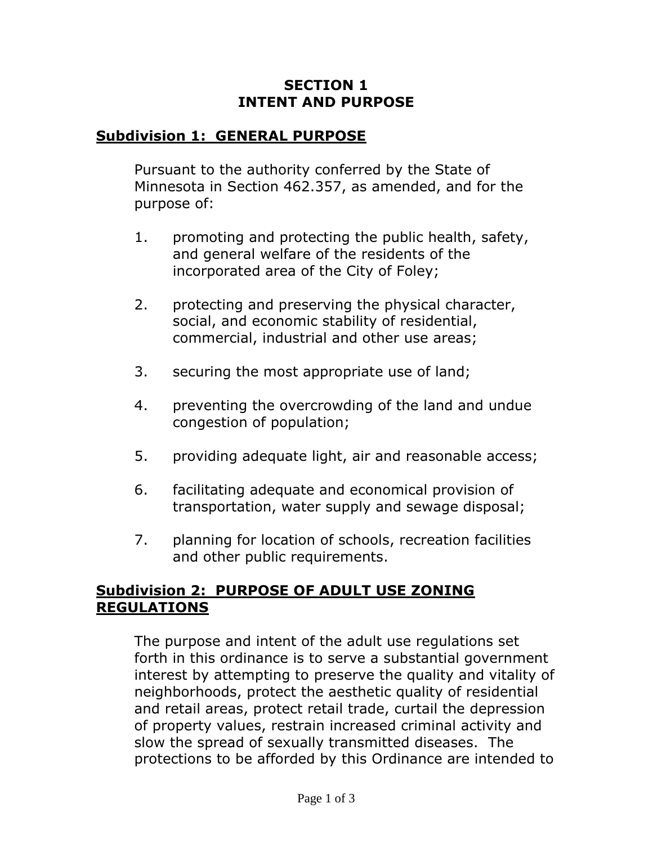## **SECTION 1 INTENT AND PURPOSE**

## **Subdivision 1: GENERAL PURPOSE**

Pursuant to the authority conferred by the State of Minnesota in Section 462.357, as amended, and for the purpose of:

- 1. promoting and protecting the public health, safety, and general welfare of the residents of the incorporated area of the City of Foley;
- 2. protecting and preserving the physical character, social, and economic stability of residential, commercial, industrial and other use areas;
- 3. securing the most appropriate use of land;
- 4. preventing the overcrowding of the land and undue congestion of population;
- 5. providing adequate light, air and reasonable access;
- 6. facilitating adequate and economical provision of transportation, water supply and sewage disposal;
- 7. planning for location of schools, recreation facilities and other public requirements.

## **Subdivision 2: PURPOSE OF ADULT USE ZONING REGULATIONS**

The purpose and intent of the adult use regulations set forth in this ordinance is to serve a substantial government interest by attempting to preserve the quality and vitality of neighborhoods, protect the aesthetic quality of residential and retail areas, protect retail trade, curtail the depression of property values, restrain increased criminal activity and slow the spread of sexually transmitted diseases. The protections to be afforded by this Ordinance are intended to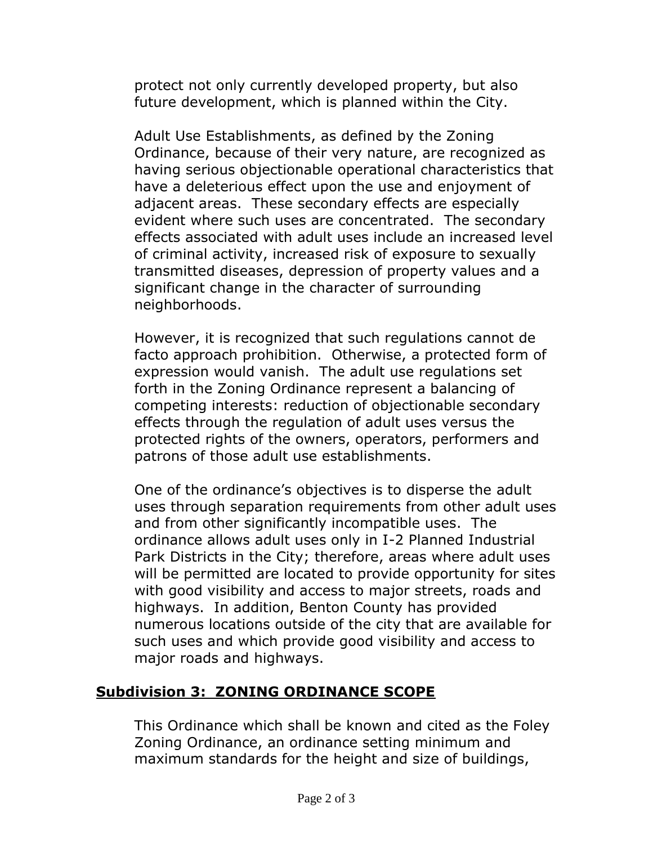protect not only currently developed property, but also future development, which is planned within the City.

Adult Use Establishments, as defined by the Zoning Ordinance, because of their very nature, are recognized as having serious objectionable operational characteristics that have a deleterious effect upon the use and enjoyment of adjacent areas. These secondary effects are especially evident where such uses are concentrated. The secondary effects associated with adult uses include an increased level of criminal activity, increased risk of exposure to sexually transmitted diseases, depression of property values and a significant change in the character of surrounding neighborhoods.

However, it is recognized that such regulations cannot de facto approach prohibition. Otherwise, a protected form of expression would vanish. The adult use regulations set forth in the Zoning Ordinance represent a balancing of competing interests: reduction of objectionable secondary effects through the regulation of adult uses versus the protected rights of the owners, operators, performers and patrons of those adult use establishments.

One of the ordinance's objectives is to disperse the adult uses through separation requirements from other adult uses and from other significantly incompatible uses. The ordinance allows adult uses only in I-2 Planned Industrial Park Districts in the City; therefore, areas where adult uses will be permitted are located to provide opportunity for sites with good visibility and access to major streets, roads and highways. In addition, Benton County has provided numerous locations outside of the city that are available for such uses and which provide good visibility and access to major roads and highways.

## **Subdivision 3: ZONING ORDINANCE SCOPE**

This Ordinance which shall be known and cited as the Foley Zoning Ordinance, an ordinance setting minimum and maximum standards for the height and size of buildings,